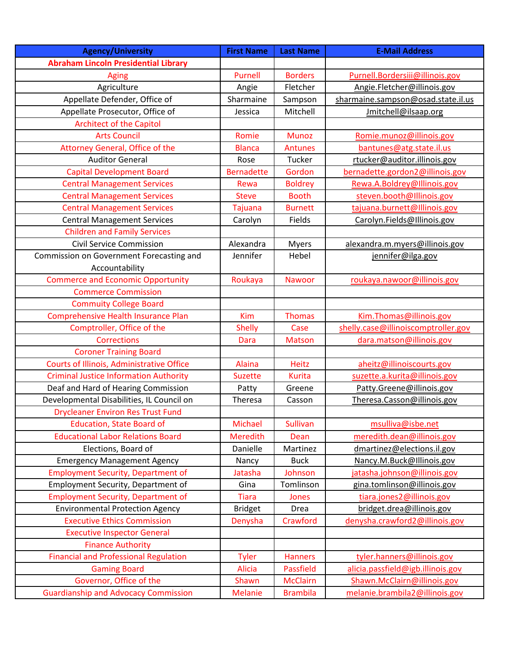| <b>Agency/University</b>                      | <b>First Name</b> | <b>Last Name</b> | <b>E-Mail Address</b>               |
|-----------------------------------------------|-------------------|------------------|-------------------------------------|
| <b>Abraham Lincoln Presidential Library</b>   |                   |                  |                                     |
| <b>Aging</b>                                  | Purnell           | <b>Borders</b>   | Purnell.Bordersiii@illinois.gov     |
| Agriculture                                   | Angie             | Fletcher         | Angie.Fletcher@illinois.gov         |
| Appellate Defender, Office of                 | Sharmaine         | Sampson          | sharmaine.sampson@osad.state.il.us  |
| Appellate Prosecutor, Office of               | Jessica           | Mitchell         | Jmitchell@ilsaap.org                |
| <b>Architect of the Capitol</b>               |                   |                  |                                     |
| <b>Arts Council</b>                           | Romie             | <b>Munoz</b>     | Romie.munoz@illinois.gov            |
| Attorney General, Office of the               | <b>Blanca</b>     | <b>Antunes</b>   | bantunes@atg.state.il.us            |
| <b>Auditor General</b>                        | Rose              | Tucker           | rtucker@auditor.illinois.gov        |
| <b>Capital Development Board</b>              | <b>Bernadette</b> | Gordon           | bernadette.gordon2@illinois.gov     |
| <b>Central Management Services</b>            | Rewa              | <b>Boldrey</b>   | Rewa.A.Boldrey@Illinois.gov         |
| <b>Central Management Services</b>            | <b>Steve</b>      | <b>Booth</b>     | steven.booth@Illinois.gov           |
| <b>Central Management Services</b>            | <b>Tajuana</b>    | <b>Burnett</b>   | tajuana.burnett@Illinois.gov        |
| <b>Central Management Services</b>            | Carolyn           | Fields           | Carolyn.Fields@Illinois.gov         |
| <b>Children and Family Services</b>           |                   |                  |                                     |
| <b>Civil Service Commission</b>               | Alexandra         | <b>Myers</b>     | alexandra.m.myers@illinois.gov      |
| Commission on Government Forecasting and      | Jennifer          | Hebel            | jennifer@ilga.gov                   |
| Accountability                                |                   |                  |                                     |
| <b>Commerce and Economic Opportunity</b>      | Roukaya           | <b>Nawoor</b>    | roukaya.nawoor@illinois.gov         |
| <b>Commerce Commission</b>                    |                   |                  |                                     |
| <b>Commuity College Board</b>                 |                   |                  |                                     |
| Comprehensive Health Insurance Plan           | Kim               | <b>Thomas</b>    | Kim.Thomas@illinois.gov             |
| Comptroller, Office of the                    | <b>Shelly</b>     | Case             | shelly.case@illinoiscomptroller.gov |
| <b>Corrections</b>                            | Dara              | <b>Matson</b>    | dara.matson@illinois.gov            |
| <b>Coroner Training Board</b>                 |                   |                  |                                     |
| Courts of Illinois, Administrative Office     | <b>Alaina</b>     | <b>Heitz</b>     | aheitz@illinoiscourts.gov           |
| <b>Criminal Justice Information Authority</b> | <b>Suzette</b>    | Kurita           | suzette.a.kurita@illinois.gov       |
| Deaf and Hard of Hearing Commission           | Patty             | Greene           | Patty.Greene@illinois.gov           |
| Developmental Disabilities, IL Council on     | Theresa           | Casson           | Theresa.Casson@illinois.gov         |
| <b>Drycleaner Environ Res Trust Fund</b>      |                   |                  |                                     |
| <b>Education, State Board of</b>              | Michael           | <b>Sullivan</b>  | msulliva@isbe.net                   |
| <b>Educational Labor Relations Board</b>      | <b>Meredith</b>   | Dean             | meredith.dean@illinois.gov          |
| Elections, Board of                           | Danielle          | Martinez         | dmartinez@elections.il.gov          |
| <b>Emergency Management Agency</b>            | Nancy             | <b>Buck</b>      | Nancy.M.Buck@Illinois.gov           |
| <b>Employment Security, Department of</b>     | Jatasha           | Johnson          | jatasha.johnson@illinois.gov        |
| Employment Security, Department of            | Gina              | Tomlinson        | gina.tomlinson@illinois.gov         |
| <b>Employment Security, Department of</b>     | <b>Tiara</b>      | Jones            | tiara.jones2@illinois.gov           |
| <b>Environmental Protection Agency</b>        | <b>Bridget</b>    | Drea             | bridget.drea@illinois.gov           |
| <b>Executive Ethics Commission</b>            | Denysha           | Crawford         | denysha.crawford2@illinois.gov      |
| <b>Executive Inspector General</b>            |                   |                  |                                     |
| <b>Finance Authority</b>                      |                   |                  |                                     |
| <b>Financial and Professional Regulation</b>  | <b>Tyler</b>      | <b>Hanners</b>   | tyler.hanners@illinois.gov          |
| <b>Gaming Board</b>                           | <b>Alicia</b>     | <b>Passfield</b> | alicia.passfield@igb.illinois.gov   |
| Governor, Office of the                       |                   |                  |                                     |
|                                               | Shawn             | <b>McClairn</b>  | Shawn.McClairn@illinois.gov         |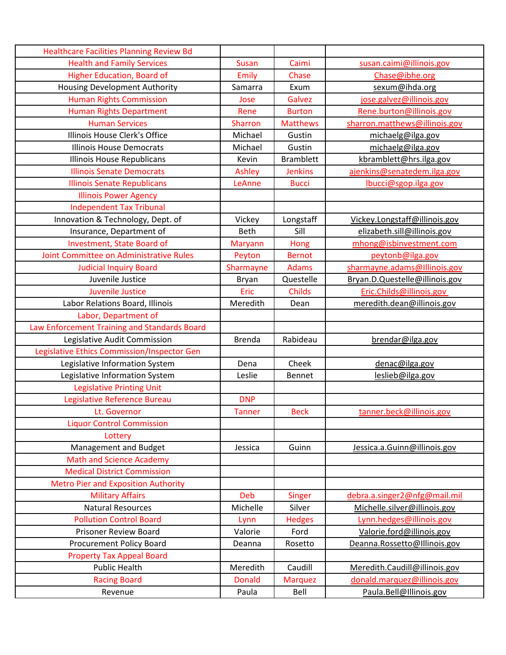| <b>Healthcare Facilities Planning Review Bd</b> |                |                  |                                |
|-------------------------------------------------|----------------|------------------|--------------------------------|
| <b>Health and Family Services</b>               | <b>Susan</b>   | Caimi            | susan.caimi@illinois.gov       |
| <b>Higher Education, Board of</b>               | <b>Emily</b>   | Chase            | Chase@ibhe.org                 |
| <b>Housing Development Authority</b>            | Samarra        | Exum             | sexum@ihda.org                 |
| <b>Human Rights Commission</b>                  | Jose           | Galvez           | jose.galvez@illinois.gov       |
| <b>Human Rights Department</b>                  | Rene           | <b>Burton</b>    | Rene.burton@illinois.gov       |
| <b>Human Services</b>                           | <b>Sharron</b> | <b>Matthews</b>  | sharron.matthews@illinois.gov  |
| Illinois House Clerk's Office                   | Michael        | Gustin           | michaelg@ilga.gov              |
| <b>Illinois House Democrats</b>                 | Michael        | Gustin           | michaelg@ilga.gov              |
| <b>Illinois House Republicans</b>               | Kevin          | <b>Bramblett</b> | kbramblett@hrs.ilga.gov        |
| <b>Illinois Senate Democrats</b>                | Ashley         | <b>Jenkins</b>   | ajenkins@senatedem.ilga.gov    |
| <b>Illinois Senate Republicans</b>              | LeAnne         | <b>Bucci</b>     | lbucci@sgop.ilga.gov           |
| <b>Illinois Power Agency</b>                    |                |                  |                                |
| <b>Independent Tax Tribunal</b>                 |                |                  |                                |
| Innovation & Technology, Dept. of               | Vickey         | Longstaff        | Vickey.Longstaff@illinois.gov  |
| Insurance, Department of                        | Beth           | Sill             | elizabeth.sill@illinois.gov    |
| Investment, State Board of                      | <b>Maryann</b> | Hong             | mhong@isbinvestment.com        |
| Joint Committee on Administrative Rules         | Peyton         | <b>Bernot</b>    | peytonb@ilga.gov               |
| <b>Judicial Inquiry Board</b>                   | Sharmayne      | <b>Adams</b>     | sharmayne.adams@Illinois.gov   |
| Juvenile Justice                                | <b>Bryan</b>   | Questelle        | Bryan.D.Questelle@illinois.gov |
| <b>Juvenile Justice</b>                         | Eric           | Childs           | Eric.Childs@illinois.gov       |
| Labor Relations Board, Illinois                 | Meredith       | Dean             | meredith.dean@illinois.gov     |
| Labor, Department of                            |                |                  |                                |
| Law Enforcement Training and Standards Board    |                |                  |                                |
| Legislative Audit Commission                    | <b>Brenda</b>  | Rabideau         | brendar@ilga.gov               |
| Legislative Ethics Commission/Inspector Gen     |                |                  |                                |
| Legislative Information System                  | Dena           | Cheek            | denac@ilga.gov                 |
| Legislative Information System                  | Leslie         | <b>Bennet</b>    | leslieb@ilga.gov               |
| <b>Legislative Printing Unit</b>                |                |                  |                                |
| Legislative Reference Bureau                    | <b>DNP</b>     |                  |                                |
| Lt. Governor                                    | <b>Tanner</b>  | <b>Beck</b>      | tanner.beck@illinois.gov       |
| <b>Liquor Control Commission</b>                |                |                  |                                |
| Lottery                                         |                |                  |                                |
| Management and Budget                           | Jessica        | Guinn            | Jessica.a.Guinn@illinois.gov   |
| <b>Math and Science Academy</b>                 |                |                  |                                |
| <b>Medical District Commission</b>              |                |                  |                                |
| <b>Metro Pier and Exposition Authority</b>      |                |                  |                                |
| <b>Military Affairs</b>                         | Deb            | Singer           | debra.a.singer2@nfg@mail.mil   |
| <b>Natural Resources</b>                        | Michelle       | Silver           | Michelle.silver@illinois.gov   |
| <b>Pollution Control Board</b>                  | Lynn           | <b>Hedges</b>    | Lynn.hedges@illinois.gov       |
| <b>Prisoner Review Board</b>                    | Valorie        | Ford             | Valorie.ford@illinois.gov      |
| <b>Procurement Policy Board</b>                 | Deanna         | Rosetto          | Deanna.Rossetto@Illinois.gov   |
| <b>Property Tax Appeal Board</b>                |                |                  |                                |
| <b>Public Health</b>                            | Meredith       | Caudill          | Meredith.Caudill@illinois.gov  |
| <b>Racing Board</b>                             | <b>Donald</b>  | <b>Marquez</b>   | donald.marquez@illinois.gov    |
| Revenue                                         | Paula          | Bell             | Paula.Bell@Illinois.gov        |
|                                                 |                |                  |                                |